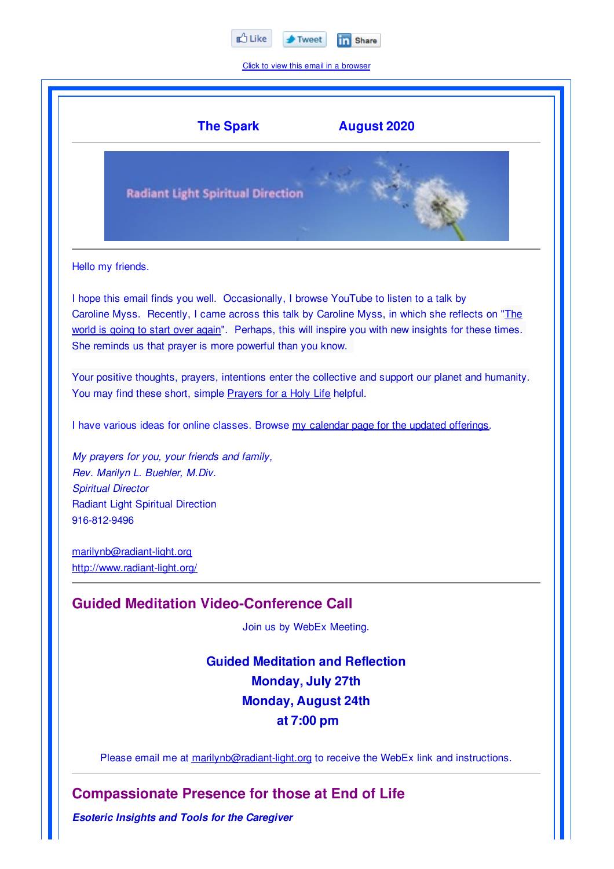

Click to view this email in a browser



**Compassionate Presence for those at End of Life**

*Esoteric Insights and Tools for the Caregiver*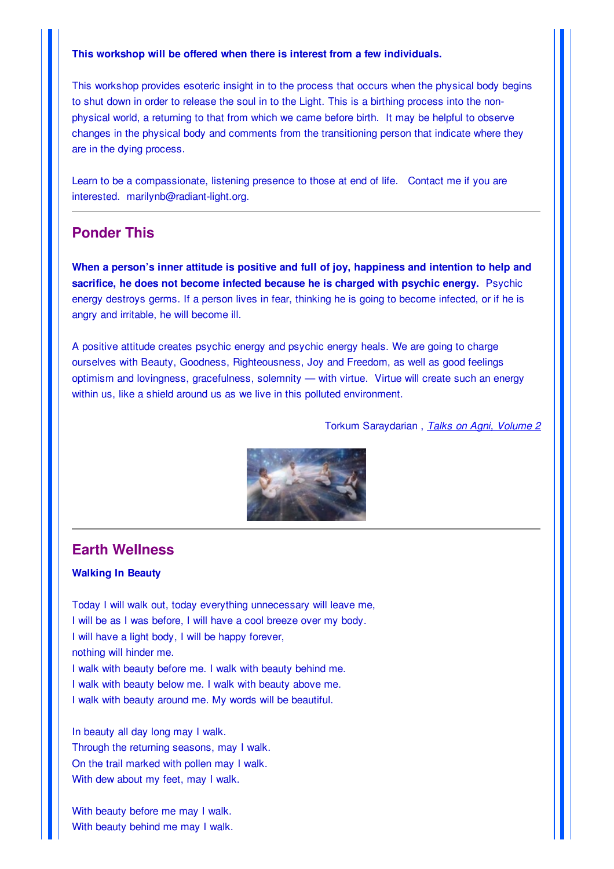#### **This workshop will be offered when there is interest from a few individuals.**

This workshop provides esoteric insight in to the process that occurs when the physical body begins to shut down in order to release the soul in to the Light. This is a birthing process into the nonphysical world, a returning to that from which we came before birth. It may be helpful to observe changes in the physical body and comments from the transitioning person that indicate where they are in the dying process.

Learn to be a compassionate, listening presence to those at end of life. Contact me if you are interested. marilynb@radiant-light.org.

## **Ponder This**

**When a person's inner attitude is positive and full of joy, happiness and intention to help and sacrifice, he does not become infected because he is charged with psychic energy.** Psychic energy destroys germs. If a person lives in fear, thinking he is going to become infected, or if he is angry and irritable, he will become ill.

A positive attitude creates psychic energy and psychic energy heals. We are going to charge ourselves with Beauty, Goodness, Righteousness, Joy and Freedom, as well as good feelings optimism and lovingness, gracefulness, solemnity — with virtue. Virtue will create such an energy within us, like a shield around us as we live in this polluted environment.

Torkum Saraydarian , *Talks on Agni, Volume 2*



### **Earth Wellness**

### **Walking In Beauty**

Today I will walk out, today everything unnecessary will leave me, I will be as I was before, I will have a cool breeze over my body. I will have a light body, I will be happy forever, nothing will hinder me. I walk with beauty before me. I walk with beauty behind me. I walk with beauty below me. I walk with beauty above me. I walk with beauty around me. My words will be beautiful.

In beauty all day long may I walk. Through the returning seasons, may I walk. On the trail marked with pollen may I walk. With dew about my feet, may I walk.

With beauty before me may I walk. With beauty behind me may I walk.